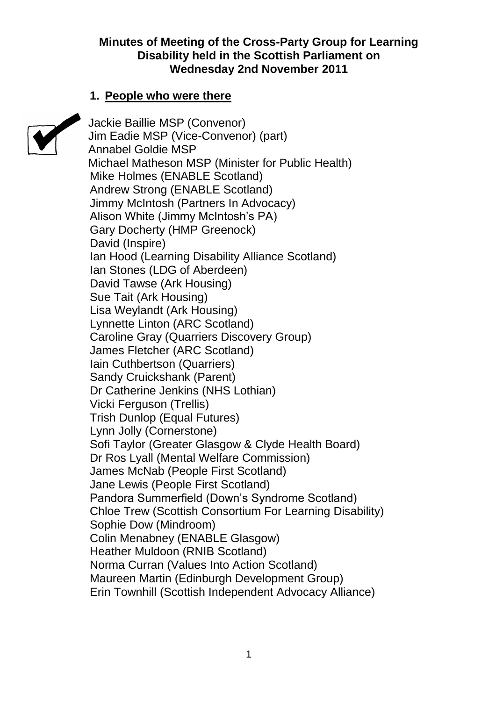### **Minutes of Meeting of the Cross-Party Group for Learning Disability held in the Scottish Parliament on Wednesday 2nd November 2011**

### **1. People who were there**



Jackie Baillie MSP (Convenor) Jim Eadie MSP (Vice-Convenor) (part) Annabel Goldie MSP Michael Matheson MSP (Minister for Public Health) Mike Holmes (ENABLE Scotland) Andrew Strong (ENABLE Scotland) Jimmy McIntosh (Partners In Advocacy) Alison White (Jimmy McIntosh's PA) Gary Docherty (HMP Greenock) David (Inspire) Ian Hood (Learning Disability Alliance Scotland) Ian Stones (LDG of Aberdeen) David Tawse (Ark Housing) Sue Tait (Ark Housing) Lisa Weylandt (Ark Housing) Lynnette Linton (ARC Scotland) Caroline Gray (Quarriers Discovery Group) James Fletcher (ARC Scotland) Iain Cuthbertson (Quarriers) Sandy Cruickshank (Parent) Dr Catherine Jenkins (NHS Lothian) Vicki Ferguson (Trellis) Trish Dunlop (Equal Futures) Lynn Jolly (Cornerstone) Sofi Taylor (Greater Glasgow & Clyde Health Board) Dr Ros Lyall (Mental Welfare Commission) James McNab (People First Scotland) Jane Lewis (People First Scotland) Pandora Summerfield (Down's Syndrome Scotland) Chloe Trew (Scottish Consortium For Learning Disability) Sophie Dow (Mindroom) Colin Menabney (ENABLE Glasgow) Heather Muldoon (RNIB Scotland) Norma Curran (Values Into Action Scotland) Maureen Martin (Edinburgh Development Group) Erin Townhill (Scottish Independent Advocacy Alliance)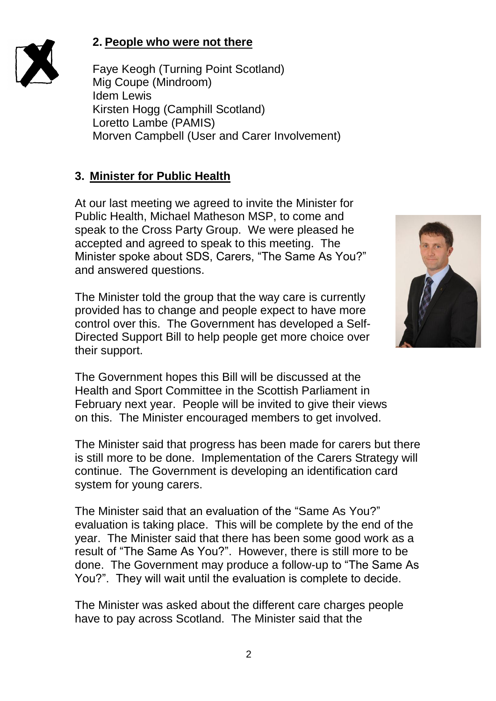

Faye Keogh (Turning Point Scotland) Mig Coupe (Mindroom) Idem Lewis Kirsten Hogg (Camphill Scotland) Loretto Lambe (PAMIS) Morven Campbell (User and Carer Involvement)

# **3. Minister for Public Health**

At our last meeting we agreed to invite the Minister for Public Health, Michael Matheson MSP, to come and speak to the Cross Party Group. We were pleased he accepted and agreed to speak to this meeting. The Minister spoke about SDS, Carers, "The Same As You?" and answered questions.

The Minister told the group that the way care is currently provided has to change and people expect to have more control over this. The Government has developed a Self-Directed Support Bill to help people get more choice over their support.



The Government hopes this Bill will be discussed at the Health and Sport Committee in the Scottish Parliament in February next year. People will be invited to give their views on this. The Minister encouraged members to get involved.

The Minister said that progress has been made for carers but there is still more to be done. Implementation of the Carers Strategy will continue. The Government is developing an identification card system for young carers.

The Minister said that an evaluation of the "Same As You?" evaluation is taking place. This will be complete by the end of the year. The Minister said that there has been some good work as a result of "The Same As You?". However, there is still more to be done. The Government may produce a follow-up to "The Same As You?". They will wait until the evaluation is complete to decide.

The Minister was asked about the different care charges people have to pay across Scotland. The Minister said that the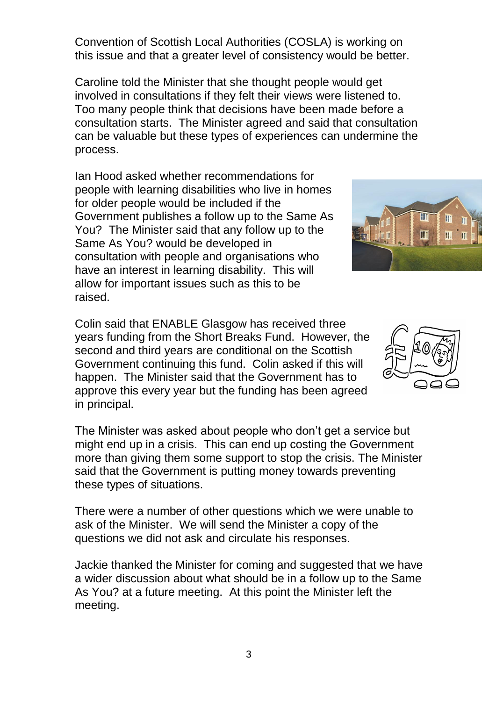Convention of Scottish Local Authorities (COSLA) is working on this issue and that a greater level of consistency would be better.

Caroline told the Minister that she thought people would get involved in consultations if they felt their views were listened to. Too many people think that decisions have been made before a consultation starts. The Minister agreed and said that consultation can be valuable but these types of experiences can undermine the process.

Ian Hood asked whether recommendations for people with learning disabilities who live in homes for older people would be included if the Government publishes a follow up to the Same As You? The Minister said that any follow up to the Same As You? would be developed in consultation with people and organisations who have an interest in learning disability. This will allow for important issues such as this to be raised.

Colin said that ENABLE Glasgow has received three years funding from the Short Breaks Fund. However, the second and third years are conditional on the Scottish Government continuing this fund. Colin asked if this will happen. The Minister said that the Government has to approve this every year but the funding has been agreed in principal.

The Minister was asked about people who don't get a service but might end up in a crisis. This can end up costing the Government more than giving them some support to stop the crisis. The Minister said that the Government is putting money towards preventing these types of situations.

There were a number of other questions which we were unable to ask of the Minister. We will send the Minister a copy of the questions we did not ask and circulate his responses.

Jackie thanked the Minister for coming and suggested that we have a wider discussion about what should be in a follow up to the Same As You? at a future meeting. At this point the Minister left the meeting.



H

Ш

ĪĪ T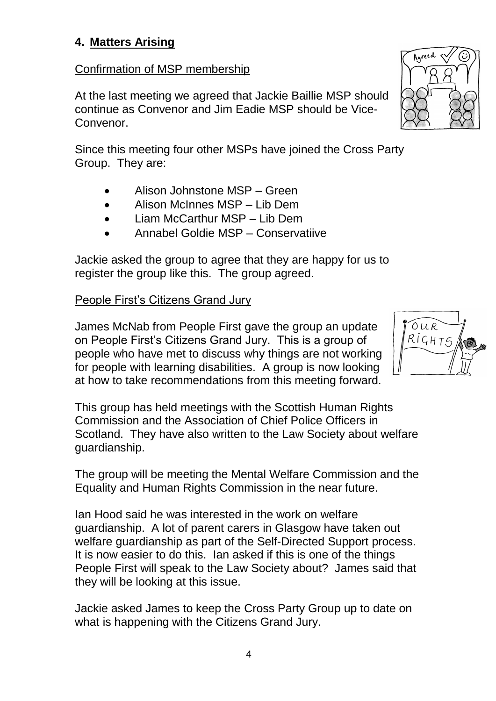## **4. Matters Arising**

### Confirmation of MSP membership

At the last meeting we agreed that Jackie Baillie MSP should continue as Convenor and Jim Eadie MSP should be Vice-Convenor.

Since this meeting four other MSPs have joined the Cross Party Group. They are:

- Alison Johnstone MSP Green
- Alison McInnes MSP Lib Dem
- Liam McCarthur MSP Lib Dem
- Annabel Goldie MSP Conservatiive

Jackie asked the group to agree that they are happy for us to register the group like this. The group agreed.

### People First's Citizens Grand Jury

James McNab from People First gave the group an update on People First's Citizens Grand Jury. This is a group of people who have met to discuss why things are not working for people with learning disabilities. A group is now looking at how to take recommendations from this meeting forward.

This group has held meetings with the Scottish Human Rights Commission and the Association of Chief Police Officers in Scotland. They have also written to the Law Society about welfare guardianship.

The group will be meeting the Mental Welfare Commission and the Equality and Human Rights Commission in the near future.

Ian Hood said he was interested in the work on welfare guardianship. A lot of parent carers in Glasgow have taken out welfare guardianship as part of the Self-Directed Support process. It is now easier to do this. Ian asked if this is one of the things People First will speak to the Law Society about? James said that they will be looking at this issue.

Jackie asked James to keep the Cross Party Group up to date on what is happening with the Citizens Grand Jury.



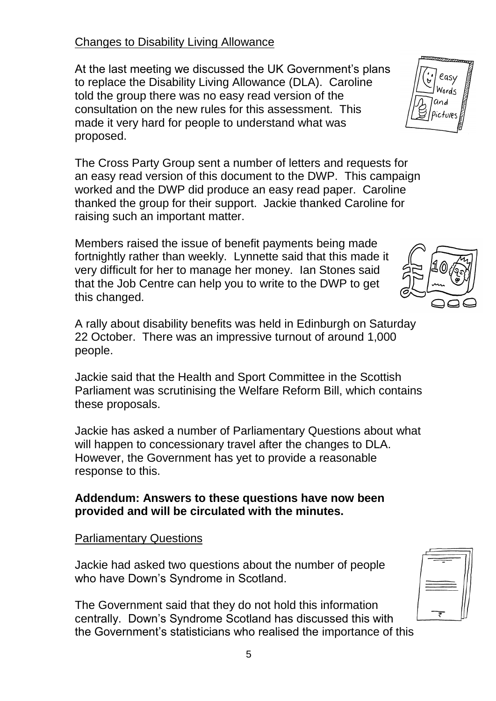## Changes to Disability Living Allowance

At the last meeting we discussed the UK Government's plans to replace the Disability Living Allowance (DLA). Caroline told the group there was no easy read version of the consultation on the new rules for this assessment. This made it very hard for people to understand what was proposed.

The Cross Party Group sent a number of letters and requests for an easy read version of this document to the DWP. This campaign worked and the DWP did produce an easy read paper. Caroline thanked the group for their support. Jackie thanked Caroline for raising such an important matter.

Members raised the issue of benefit payments being made fortnightly rather than weekly. Lynnette said that this made it very difficult for her to manage her money. Ian Stones said that the Job Centre can help you to write to the DWP to get this changed.

A rally about disability benefits was held in Edinburgh on Saturday 22 October. There was an impressive turnout of around 1,000 people.

Jackie said that the Health and Sport Committee in the Scottish Parliament was scrutinising the Welfare Reform Bill, which contains these proposals.

Jackie has asked a number of Parliamentary Questions about what will happen to concessionary travel after the changes to DLA. However, the Government has yet to provide a reasonable response to this.

### **Addendum: Answers to these questions have now been provided and will be circulated with the minutes.**

Parliamentary Questions

Jackie had asked two questions about the number of people who have Down's Syndrome in Scotland.

The Government said that they do not hold this information centrally. Down's Syndrome Scotland has discussed this with the Government's statisticians who realised the importance of this





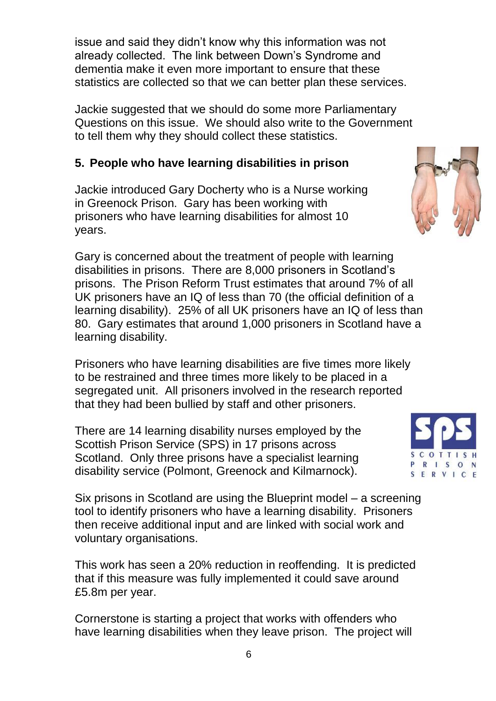issue and said they didn't know why this information was not already collected. The link between Down's Syndrome and dementia make it even more important to ensure that these statistics are collected so that we can better plan these services.

Jackie suggested that we should do some more Parliamentary Questions on this issue. We should also write to the Government to tell them why they should collect these statistics.

# **5. People who have learning disabilities in prison**

Jackie introduced Gary Docherty who is a Nurse working in Greenock Prison. Gary has been working with prisoners who have learning disabilities for almost 10 years.

Gary is concerned about the treatment of people with learning disabilities in prisons. There are 8,000 prisoners in Scotland's prisons. The Prison Reform Trust estimates that around 7% of all UK prisoners have an IQ of less than 70 (the official definition of a learning disability). 25% of all UK prisoners have an IQ of less than 80. Gary estimates that around 1,000 prisoners in Scotland have a learning disability.

Prisoners who have learning disabilities are five times more likely to be restrained and three times more likely to be placed in a segregated unit. All prisoners involved in the research reported that they had been bullied by staff and other prisoners.

There are 14 learning disability nurses employed by the Scottish Prison Service (SPS) in 17 prisons across Scotland. Only three prisons have a specialist learning disability service (Polmont, Greenock and Kilmarnock).

Six prisons in Scotland are using the Blueprint model – a screening tool to identify prisoners who have a learning disability. Prisoners then receive additional input and are linked with social work and voluntary organisations.

This work has seen a 20% reduction in reoffending. It is predicted that if this measure was fully implemented it could save around £5.8m per year.

Cornerstone is starting a project that works with offenders who have learning disabilities when they leave prison. The project will



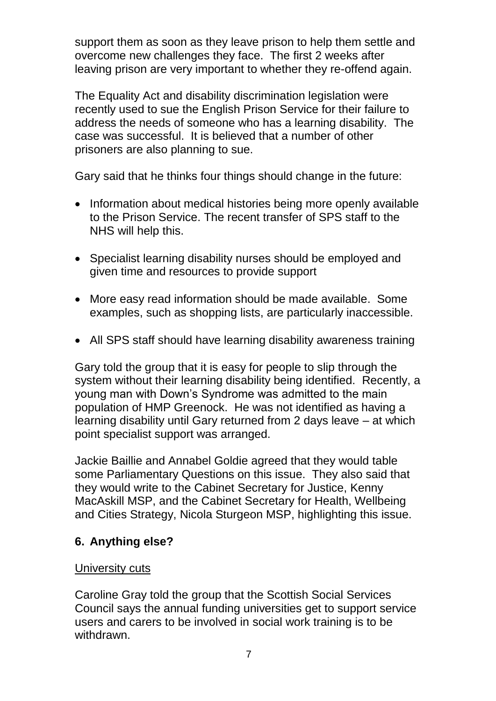support them as soon as they leave prison to help them settle and overcome new challenges they face. The first 2 weeks after leaving prison are very important to whether they re-offend again.

The Equality Act and disability discrimination legislation were recently used to sue the English Prison Service for their failure to address the needs of someone who has a learning disability. The case was successful. It is believed that a number of other prisoners are also planning to sue.

Gary said that he thinks four things should change in the future:

- Information about medical histories being more openly available to the Prison Service. The recent transfer of SPS staff to the NHS will help this.
- Specialist learning disability nurses should be employed and given time and resources to provide support
- More easy read information should be made available. Some examples, such as shopping lists, are particularly inaccessible.
- All SPS staff should have learning disability awareness training

Gary told the group that it is easy for people to slip through the system without their learning disability being identified. Recently, a young man with Down's Syndrome was admitted to the main population of HMP Greenock. He was not identified as having a learning disability until Gary returned from 2 days leave – at which point specialist support was arranged.

Jackie Baillie and Annabel Goldie agreed that they would table some Parliamentary Questions on this issue. They also said that they would write to the Cabinet Secretary for Justice, Kenny MacAskill MSP, and the Cabinet Secretary for Health, Wellbeing and Cities Strategy, Nicola Sturgeon MSP, highlighting this issue.

# **6. Anything else?**

## University cuts

Caroline Gray told the group that the Scottish Social Services Council says the annual funding universities get to support service users and carers to be involved in social work training is to be withdrawn.